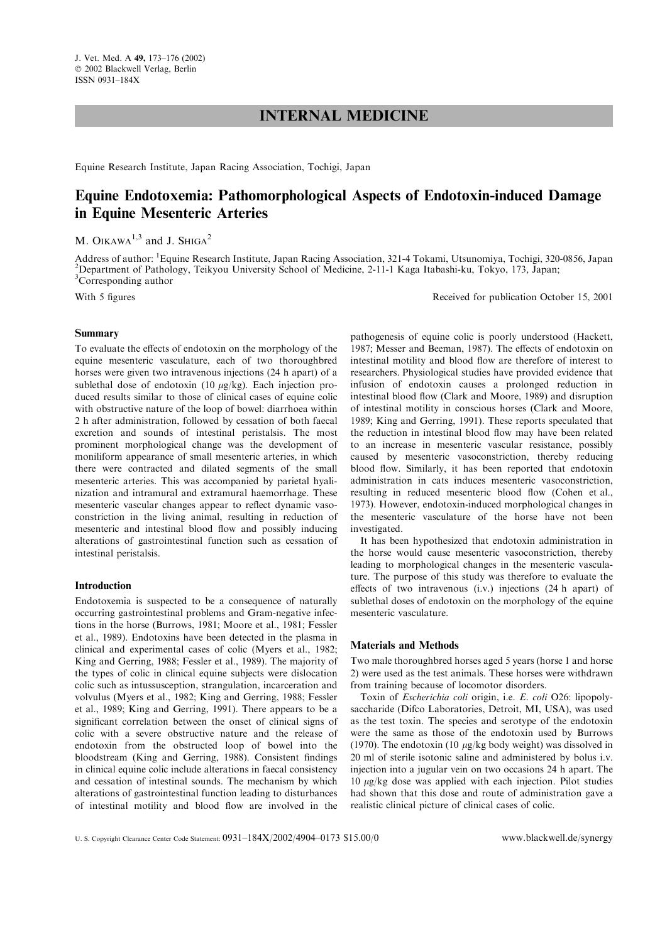# INTERNAL MEDICINE

Equine Research Institute, Japan Racing Association, Tochigi, Japan

# Equine Endotoxemia: Pathomorphological Aspects of Endotoxin-induced Damage in Equine Mesenteric Arteries

M. OIKAWA<sup>1,3</sup> and J. SHIGA<sup>2</sup>

Address of author: <sup>1</sup>Equine Research Institute, Japan Racing Association, 321-4 Tokami, Utsunomiya, Tochigi, 320-0856, Japan<br><sup>2</sup>Department of Pathology, Teikyou University School of Medicine, 2,11,1 Kaga Itabashi ku Tokyo <sup>2</sup>Department of Pathology, Teikyou University School of Medicine, 2-11-1 Kaga Itabashi-ku, Tokyo, 173, Japan; <sup>3</sup>Corresponding author

With 5 figures Received for publication October 15, 2001

### Summary

To evaluate the effects of endotoxin on the morphology of the equine mesenteric vasculature, each of two thoroughbred horses were given two intravenous injections (24 h apart) of a sublethal dose of endotoxin (10  $\mu$ g/kg). Each injection produced results similar to those of clinical cases of equine colic with obstructive nature of the loop of bowel: diarrhoea within 2 h after administration, followed by cessation of both faecal excretion and sounds of intestinal peristalsis. The most prominent morphological change was the development of moniliform appearance of small mesenteric arteries, in which there were contracted and dilated segments of the small mesenteric arteries. This was accompanied by parietal hyalinization and intramural and extramural haemorrhage. These mesenteric vascular changes appear to reflect dynamic vasoconstriction in the living animal, resulting in reduction of mesenteric and intestinal blood flow and possibly inducing alterations of gastrointestinal function such as cessation of intestinal peristalsis.

### Introduction

Endotoxemia is suspected to be a consequence of naturally occurring gastrointestinal problems and Gram-negative infections in the horse (Burrows, 1981; Moore et al., 1981; Fessler et al., 1989). Endotoxins have been detected in the plasma in clinical and experimental cases of colic (Myers et al., 1982; King and Gerring, 1988; Fessler et al., 1989). The majority of the types of colic in clinical equine subjects were dislocation colic such as intussusception, strangulation, incarceration and volvulus (Myers et al., 1982; King and Gerring, 1988; Fessler et al., 1989; King and Gerring, 1991). There appears to be a significant correlation between the onset of clinical signs of colic with a severe obstructive nature and the release of endotoxin from the obstructed loop of bowel into the bloodstream (King and Gerring, 1988). Consistent findings in clinical equine colic include alterations in faecal consistency and cessation of intestinal sounds. The mechanism by which alterations of gastrointestinal function leading to disturbances of intestinal motility and blood flow are involved in the

pathogenesis of equine colic is poorly understood (Hackett, 1987; Messer and Beeman, 1987). The effects of endotoxin on intestinal motility and blood flow are therefore of interest to researchers. Physiological studies have provided evidence that infusion of endotoxin causes a prolonged reduction in intestinal blood flow (Clark and Moore, 1989) and disruption of intestinal motility in conscious horses (Clark and Moore, 1989; King and Gerring, 1991). These reports speculated that the reduction in intestinal blood flow may have been related to an increase in mesenteric vascular resistance, possibly caused by mesenteric vasoconstriction, thereby reducing blood flow. Similarly, it has been reported that endotoxin administration in cats induces mesenteric vasoconstriction, resulting in reduced mesenteric blood flow (Cohen et al., 1973). However, endotoxin-induced morphological changes in the mesenteric vasculature of the horse have not been investigated.

It has been hypothesized that endotoxin administration in the horse would cause mesenteric vasoconstriction, thereby leading to morphological changes in the mesenteric vasculature. The purpose of this study was therefore to evaluate the effects of two intravenous (i.v.) injections (24 h apart) of sublethal doses of endotoxin on the morphology of the equine mesenteric vasculature.

#### Materials and Methods

Two male thoroughbred horses aged 5 years (horse 1 and horse 2) were used as the test animals. These horses were withdrawn from training because of locomotor disorders.

Toxin of Escherichia coli origin, i.e. E. coli O26: lipopolysaccharide (Difco Laboratories, Detroit, MI, USA), was used as the test toxin. The species and serotype of the endotoxin were the same as those of the endotoxin used by Burrows (1970). The endotoxin (10  $\mu$ g/kg body weight) was dissolved in 20 ml of sterile isotonic saline and administered by bolus i.v. injection into a jugular vein on two occasions 24 h apart. The  $10 \mu g/kg$  dose was applied with each injection. Pilot studies had shown that this dose and route of administration gave a realistic clinical picture of clinical cases of colic.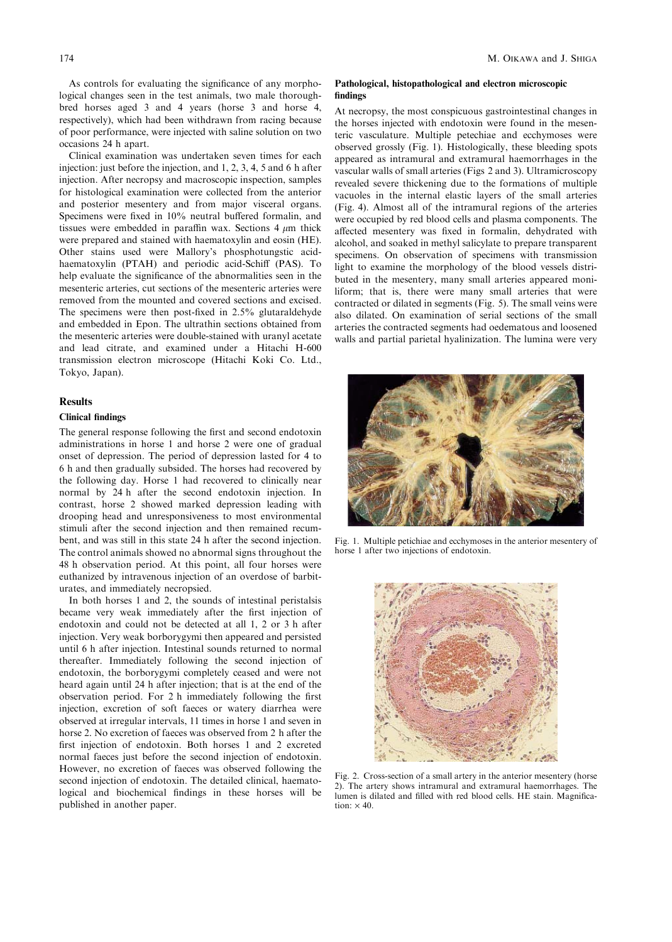bred horses aged 3 and 4 years (horse 3 and horse 4, respectively), which had been withdrawn from racing because of poor performance, were injected with saline solution on two occasions 24 h apart.

Clinical examination was undertaken seven times for each injection: just before the injection, and 1, 2, 3, 4, 5 and 6 h after injection. After necropsy and macroscopic inspection, samples for histological examination were collected from the anterior and posterior mesentery and from major visceral organs. Specimens were fixed in 10% neutral buffered formalin, and tissues were embedded in paraffin wax. Sections  $4 \mu m$  thick were prepared and stained with haematoxylin and eosin (HE). Other stains used were Mallory's phosphotungstic acidhaematoxylin (PTAH) and periodic acid-Schiff (PAS). To help evaluate the significance of the abnormalities seen in the mesenteric arteries, cut sections of the mesenteric arteries were removed from the mounted and covered sections and excised. The specimens were then post-fixed in 2.5% glutaraldehyde and embedded in Epon. The ultrathin sections obtained from the mesenteric arteries were double-stained with uranyl acetate and lead citrate, and examined under a Hitachi H-600 transmission electron microscope (Hitachi Koki Co. Ltd., Tokyo, Japan).

#### Results

### Clinical findings

The general response following the first and second endotoxin administrations in horse 1 and horse 2 were one of gradual onset of depression. The period of depression lasted for 4 to 6 h and then gradually subsided. The horses had recovered by the following day. Horse 1 had recovered to clinically near normal by 24 h after the second endotoxin injection. In contrast, horse 2 showed marked depression leading with drooping head and unresponsiveness to most environmental stimuli after the second injection and then remained recumbent, and was still in this state 24 h after the second injection. The control animals showed no abnormal signs throughout the 48 h observation period. At this point, all four horses were euthanized by intravenous injection of an overdose of barbiturates, and immediately necropsied.

In both horses 1 and 2, the sounds of intestinal peristalsis became very weak immediately after the first injection of endotoxin and could not be detected at all 1, 2 or 3 h after injection. Very weak borborygymi then appeared and persisted until 6 h after injection. Intestinal sounds returned to normal thereafter. Immediately following the second injection of endotoxin, the borborygymi completely ceased and were not heard again until 24 h after injection; that is at the end of the observation period. For 2 h immediately following the first injection, excretion of soft faeces or watery diarrhea were observed at irregular intervals, 11 times in horse 1 and seven in horse 2. No excretion of faeces was observed from 2 h after the first injection of endotoxin. Both horses 1 and 2 excreted normal faeces just before the second injection of endotoxin. However, no excretion of faeces was observed following the second injection of endotoxin. The detailed clinical, haematological and biochemical findings in these horses will be published in another paper.

#### Pathological, histopathological and electron microscopic findings

At necropsy, the most conspicuous gastrointestinal changes in the horses injected with endotoxin were found in the mesenteric vasculature. Multiple petechiae and ecchymoses were observed grossly (Fig. 1). Histologically, these bleeding spots appeared as intramural and extramural haemorrhages in the vascular walls of small arteries (Figs 2 and 3). Ultramicroscopy revealed severe thickening due to the formations of multiple vacuoles in the internal elastic layers of the small arteries (Fig. 4). Almost all of the intramural regions of the arteries were occupied by red blood cells and plasma components. The affected mesentery was fixed in formalin, dehydrated with alcohol, and soaked in methyl salicylate to prepare transparent specimens. On observation of specimens with transmission light to examine the morphology of the blood vessels distributed in the mesentery, many small arteries appeared moniliform; that is, there were many small arteries that were contracted or dilated in segments (Fig. 5). The small veins were also dilated. On examination of serial sections of the small arteries the contracted segments had oedematous and loosened walls and partial parietal hyalinization. The lumina were very



Fig. 1. Multiple petichiae and ecchymoses in the anterior mesentery of horse 1 after two injections of endotoxin.



Fig. 2. Cross-section of a small artery in the anterior mesentery (horse 2). The artery shows intramural and extramural haemorrhages. The lumen is dilated and filled with red blood cells. HE stain. Magnification:  $\times$  40.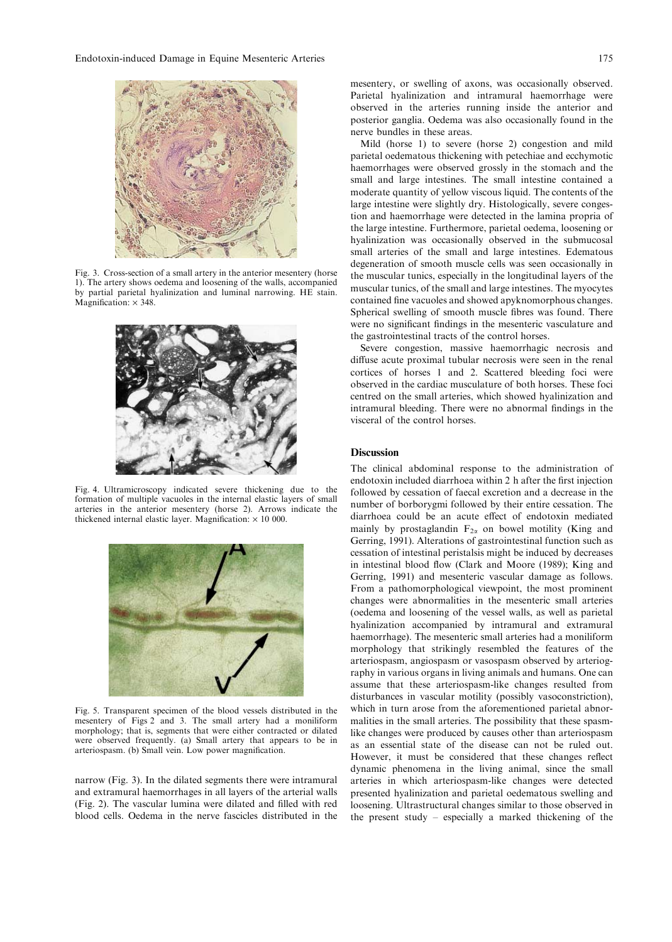

Fig. 3. Cross-section of a small artery in the anterior mesentery (horse 1). The artery shows oedema and loosening of the walls, accompanied by partial parietal hyalinization and luminal narrowing. HE stain.  $M$ agnification:  $\times$  348.



Fig. 4. Ultramicroscopy indicated severe thickening due to the formation of multiple vacuoles in the internal elastic layers of small arteries in the anterior mesentery (horse 2). Arrows indicate the thickened internal elastic layer. Magnification:  $\times$  10 000.



Fig. 5. Transparent specimen of the blood vessels distributed in the mesentery of Figs 2 and 3. The small artery had a moniliform morphology; that is, segments that were either contracted or dilated were observed frequently. (a) Small artery that appears to be in arteriospasm. (b) Small vein. Low power magnification.

narrow (Fig. 3). In the dilated segments there were intramural and extramural haemorrhages in all layers of the arterial walls (Fig. 2). The vascular lumina were dilated and filled with red blood cells. Oedema in the nerve fascicles distributed in the mesentery, or swelling of axons, was occasionally observed. Parietal hyalinization and intramural haemorrhage were observed in the arteries running inside the anterior and posterior ganglia. Oedema was also occasionally found in the nerve bundles in these areas.

Mild (horse 1) to severe (horse 2) congestion and mild parietal oedematous thickening with petechiae and ecchymotic haemorrhages were observed grossly in the stomach and the small and large intestines. The small intestine contained a moderate quantity of yellow viscous liquid. The contents of the large intestine were slightly dry. Histologically, severe congestion and haemorrhage were detected in the lamina propria of the large intestine. Furthermore, parietal oedema, loosening or hyalinization was occasionally observed in the submucosal small arteries of the small and large intestines. Edematous degeneration of smooth muscle cells was seen occasionally in the muscular tunics, especially in the longitudinal layers of the muscular tunics, of the small and large intestines. The myocytes contained fine vacuoles and showed apyknomorphous changes. Spherical swelling of smooth muscle fibres was found. There were no significant findings in the mesenteric vasculature and the gastrointestinal tracts of the control horses.

Severe congestion, massive haemorrhagic necrosis and diffuse acute proximal tubular necrosis were seen in the renal cortices of horses 1 and 2. Scattered bleeding foci were observed in the cardiac musculature of both horses. These foci centred on the small arteries, which showed hyalinization and intramural bleeding. There were no abnormal findings in the visceral of the control horses.

## **Discussion**

The clinical abdominal response to the administration of endotoxin included diarrhoea within 2 h after the first injection followed by cessation of faecal excretion and a decrease in the number of borborygmi followed by their entire cessation. The diarrhoea could be an acute effect of endotoxin mediated mainly by prostaglandin  $F_{2\alpha}$  on bowel motility (King and Gerring, 1991). Alterations of gastrointestinal function such as cessation of intestinal peristalsis might be induced by decreases in intestinal blood flow (Clark and Moore (1989); King and Gerring, 1991) and mesenteric vascular damage as follows. From a pathomorphological viewpoint, the most prominent changes were abnormalities in the mesenteric small arteries (oedema and loosening of the vessel walls, as well as parietal hyalinization accompanied by intramural and extramural haemorrhage). The mesenteric small arteries had a moniliform morphology that strikingly resembled the features of the arteriospasm, angiospasm or vasospasm observed by arteriography in various organs in living animals and humans. One can assume that these arteriospasm-like changes resulted from disturbances in vascular motility (possibly vasoconstriction), which in turn arose from the aforementioned parietal abnormalities in the small arteries. The possibility that these spasmlike changes were produced by causes other than arteriospasm as an essential state of the disease can not be ruled out. However, it must be considered that these changes reflect dynamic phenomena in the living animal, since the small arteries in which arteriospasm-like changes were detected presented hyalinization and parietal oedematous swelling and loosening. Ultrastructural changes similar to those observed in the present study – especially a marked thickening of the